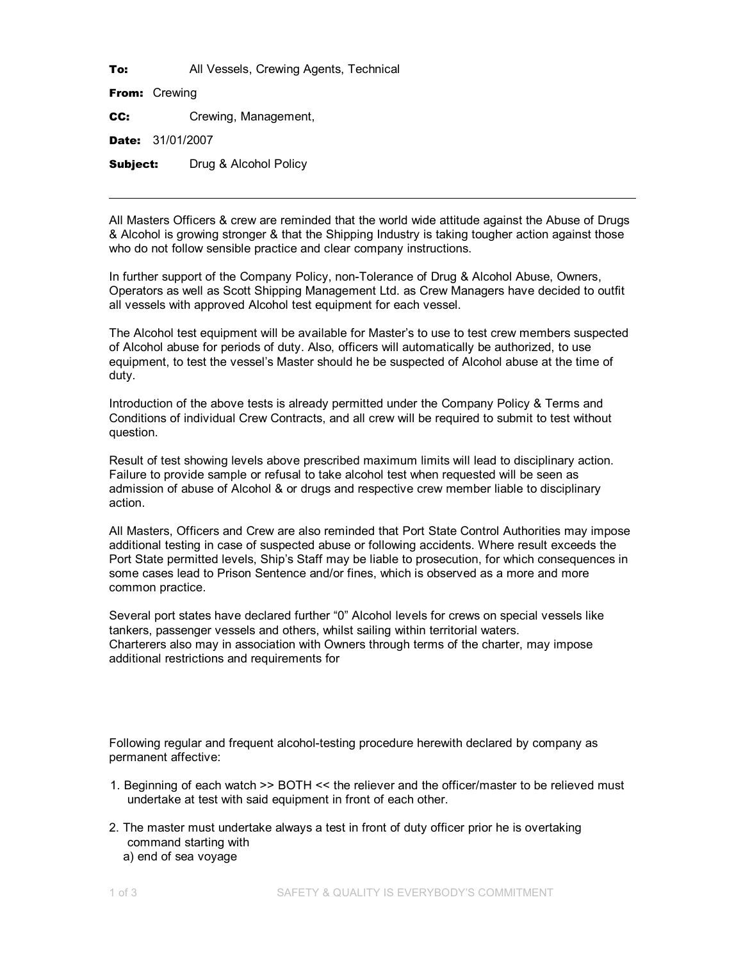To: All Vessels, Crewing Agents, Technical

From: Crewing

CC: Crewing, Management,

Date: 31/01/2007

**Subject:** Drug & Alcohol Policy

All Masters Officers & crew are reminded that the world wide attitude against the Abuse of Drugs & Alcohol is growing stronger & that the Shipping Industry is taking tougher action against those who do not follow sensible practice and clear company instructions.

In further support of the Company Policy, non-Tolerance of Drug & Alcohol Abuse, Owners, Operators as well as Scott Shipping Management Ltd. as Crew Managers have decided to outfit all vessels with approved Alcohol test equipment for each vessel.

The Alcohol test equipment will be available for Master's to use to test crew members suspected of Alcohol abuse for periods of duty. Also, officers will automatically be authorized, to use equipment, to test the vessel's Master should he be suspected of Alcohol abuse at the time of duty.

Introduction of the above tests is already permitted under the Company Policy & Terms and Conditions of individual Crew Contracts, and all crew will be required to submit to test without question.

Result of test showing levels above prescribed maximum limits will lead to disciplinary action. Failure to provide sample or refusal to take alcohol test when requested will be seen as admission of abuse of Alcohol & or drugs and respective crew member liable to disciplinary action.

All Masters, Officers and Crew are also reminded that Port State Control Authorities may impose additional testing in case of suspected abuse or following accidents. Where result exceeds the Port State permitted levels, Ship's Staff may be liable to prosecution, for which consequences in some cases lead to Prison Sentence and/or fines, which is observed as a more and more common practice.

Several port states have declared further "0" Alcohol levels for crews on special vessels like tankers, passenger vessels and others, whilst sailing within territorial waters. Charterers also may in association with Owners through terms of the charter, may impose additional restrictions and requirements for

Following regular and frequent alcohol-testing procedure herewith declared by company as permanent affective:

- 1. Beginning of each watch >> BOTH << the reliever and the officer/master to be relieved must undertake at test with said equipment in front of each other.
- 2. The master must undertake always a test in front of duty officer prior he is overtaking command starting with a) end of sea voyage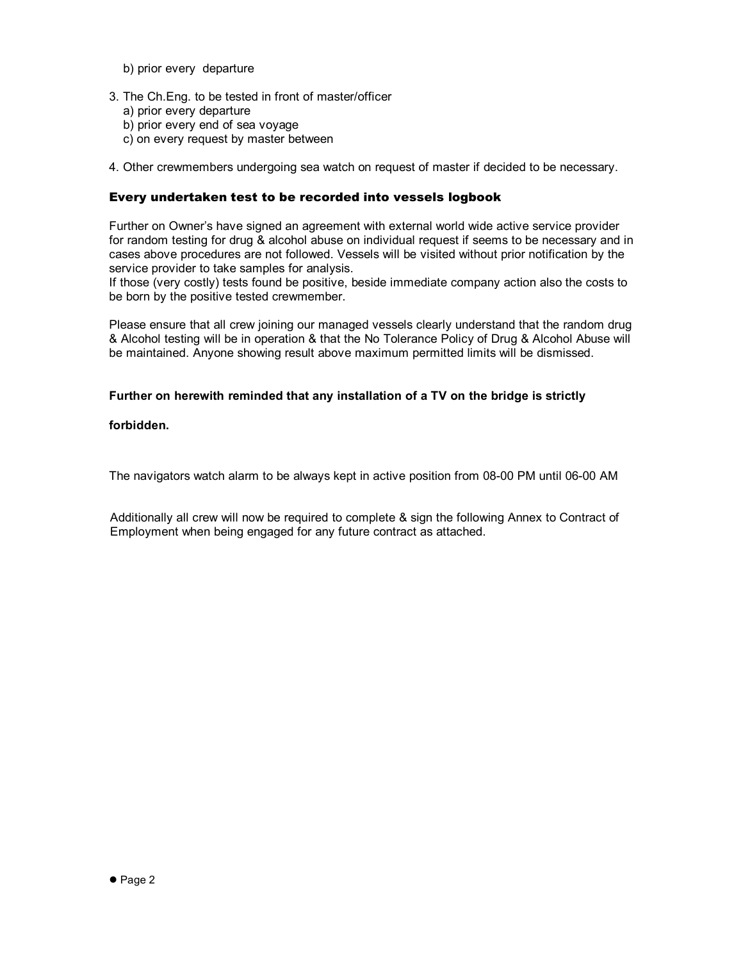- b) prior every departure
- 3. The Ch.Eng. to be tested in front of master/officer
	- a) prior every departure
	- b) prior every end of sea voyage
	- c) on every request by master between
- 4. Other crewmembers undergoing sea watch on request of master if decided to be necessary.

## Every undertaken test to be recorded into vessels logbook

Further on Owner's have signed an agreement with external world wide active service provider for random testing for drug & alcohol abuse on individual request if seems to be necessary and in cases above procedures are not followed. Vessels will be visited without prior notification by the service provider to take samples for analysis.

If those (very costly) tests found be positive, beside immediate company action also the costs to be born by the positive tested crewmember.

Please ensure that all crew joining our managed vessels clearly understand that the random drug & Alcohol testing will be in operation & that the No Tolerance Policy of Drug & Alcohol Abuse will be maintained. Anyone showing result above maximum permitted limits will be dismissed.

## **Further on herewith reminded that any installation of a TV on the bridge is strictly**

**forbidden.**

The navigators watch alarm to be always kept in active position from 08-00 PM until 06-00 AM

Additionally all crew will now be required to complete & sign the following Annex to Contract of Employment when being engaged for any future contract as attached.